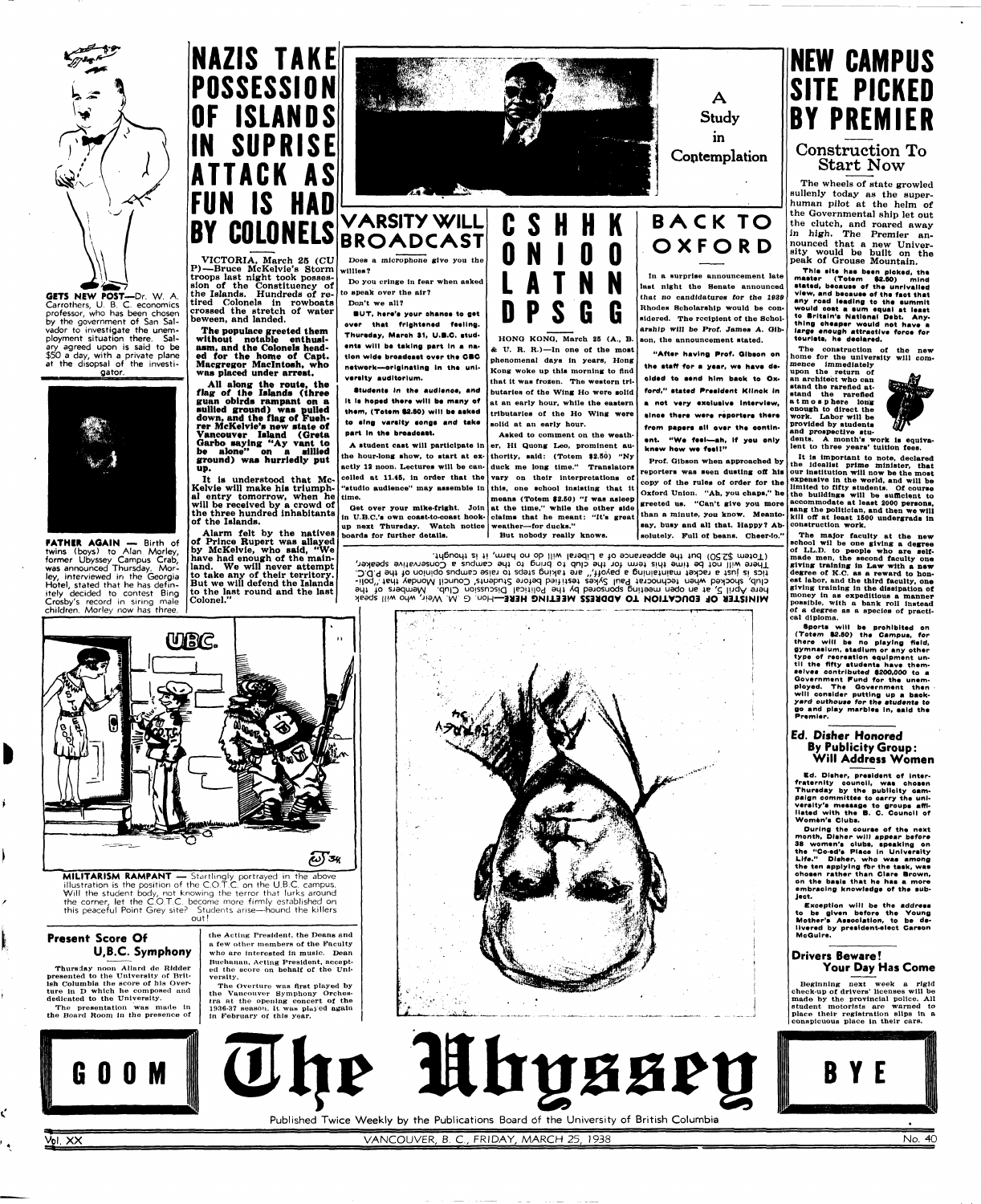

Carrothers, U. B. C. economics professor, who has been chosen by the government of San Salvador to investigate the unemployment situation there. Salary agreed upon is said to be \$50 a day, with a private plane at the disopsal of the investigator.



# **NAZIS TAKE POSSESSION ISLANDS IN SUPRISE ATTACK AS IS HA DY COLONELS**

twins (boys) to Alan Morley, former Ubyssey Campus Crab, was announced Thursday. Morley, interviewed in the Georgia Hotel, stated that he has definitely decided to contest Bing Crosby's record in siring male

D

Ľ



It is understood that Mc-Kelvie will make his triumphal entry tomorrow, when he **time.**  will be received by a crowd of the three hundred inhabitants of the Islands.

Alarm felt by the natives of Prince Rupert was allayed by McKelvie, who **said,** "We have had enough of the mainland. We will never attempt to take any of their territory. But we will defend the Islands to the last round and the last Colonel."



VICTORIA, March 25 (CU P)—Bruce McKelvie's Storm **willies?**  troops last night took possession of the Constituency of the Islands. Hundreds of retired Colonels in rowboats crossed the stretch of water beween, and landed.

**The populace greeted them without notable enthusiasm, and the Colonels headed for the home of Capt. Macgregor Macintosh, who was placed under arrest.** 

> **Students in the audience, and** It is hoped there will be many of **them, (Totem §2.80) will be aakad te aing varaity aonga and take part In the broadoaat.**

**All along the route, the flag of the Islands (three guan oblrds rampant on a sullied ground) was pulled down, and the flag of Fuehrer McKelvie's new state of Vancouver Island (Greta Garbo saying "Ay vant to be alone" on a sillied ground) waa hurriedly put up.** 

# **VARSITY WILL BROADCAST**

Does **a** microphone **give** you **the** 

**Do you cringe in fear when asked**  to **apeak over the air? Don't we all?** 

**BUT, hare'e your ahance te gat over that frightened feeling. Thuraday, Maroh 31, U.B.C. atud**ents will be taking part in a nation wide broadcast over the **CBC network—originating In the unlveralty auditorium.** 

'4\_|6no\_|4 SJ 4! 'tujeq ou op ||JM lejaqn e 40 aouejeadde au,4 4nq (\_\_.\_!\$ uiajoj.) There will not be time this term for the club to pring to the campus a Conservative speaker,  $\mathsf{D}$ . I sha iyo noinigo zuqmeb əzisi of zqətz prixlat əta ", tiovaq a printatniam təxbet a fzul zi zbit Apit) Bayda what a say a say a meeting aboused part the angle is the payon climb. Alemand and the filled inclu<br>And the very the tehnow payon and the sing in the political payon climb. Also the filled in the filled include<br> **MINISTER OF EDUCATION TO ADDRESS MEETING HERE—HON G. M. WOW WAY Also Abeak** 

**A atudent caat will participate in the hour-long ahow, to atart at exactly 12 noon. Lecturea will be can-duck me long time." Translators celled at 11.45, in order that the vary on their interpretations ot "atudlo audience" may assemble in** 

**MILITARISM RAMPANT** — Startlingly portrayed in the above **illustration is the position of the C.O.T.C. on the U.B.C. campus.**  Will the student body, not knowing the terror that lurks around **the corner, let the C.O.T.C. become more firmly established on this peaceful Point Grey site? Students arise—hound the killers out!** 

**up next Thuraday. Watch notice weather—for ducks." boards for further details.** 



**Oet over your mike-fright. Join at the time," while the other side tn** U.B.C.**'a own coast-to-coast hook-claims that he meant: "It's great this, one school insisting that lt means (Totem \$2.50) "I was asleep** 

**Kong woke up this morning to And that it was frozen. The western tributaries of the Wing Ho were solid at an early hour, while the eastern tributaries of the Ho Wing were solid at an early hour. Asked to comment on the weather, Hi Quong Leo, prominent au-**



## **C S H H K BACK TO OXFOR D**

**thority, said: (Totem \$2.50) "Ny** 

The wheels of state growled sullenly today as the superhuman pilot at the helm of the Governmental ship let out the clutch, and roared away ine clutch, and roared away in high. The Premier announced that a new University would be built on t ak of Grouse Mountain*.* 

**This site has been picked, the** master (Totem \$2.50) mind stated, because of the unrivalled view, and because of the fact that **would eoat a turn equal at leaat to Brltaln'a National Debt. Anything cheaper would not have a**  large enough attractive force for tourists, he declared.

**But nobody really knows.** 

**In a surprise announcement late last night the Senate announced that no candidatures for the 1930 Rhodes Scholarship would be considered. The recipient of the Scholarship will be Prof. James A. Gibson, the announcement stated.** 

> **denta. A month's work la equiva**lent to three years' tuition fees.

**"After having Prof. Olbson en**  the staff for a year, we have deoided to send him baok to Ox**ford," atated Preeldent Kllnek In a net very exoluslve Interview,**  alnoe there were reporters there from papers all over the contin**ent. "We feel—ah, If yeu only knew hew we feeII "** 

**Prof. Gibson when approached by reporters was aeen dusting oft hla our Institution will now be the most copy ot the rulea ot order for the Oxford Union. "Ah, you chaps," he limited to fifty students. Of course greeted us. "Can't give you more**  than a minute, you know. Meanto-**but it is a minute we will convenient to the mean of the means of the means of the means of the means of the means of the means of the means of the means of the means of the means of the me say, busy and all that. Happy? Absolutely. Full ot beans. Cheer-lo."** 

> **Ed. Disher, preeldent of Interfraternlty counoil, waa choaan Thuraday by the publicity campaign committee to oarry tha univereity'e meeaage to groupa affiliated with the B. C. Counoil of**  Women's Clubs.

### **Present Score Of U,B.C. Symphony**

**Thursday** noon Allard de Ridder presented to the University of British Columbia the score of hia Overture in D which he composed and dedicated to the University.

The presentation was made In the Board Room in the presence of

the Acting President, the Deans and a few other members of the Faculty who are interested ln music. Dean Buchanan, Acting President, accepted the score on behalf of the University.

The Overture was flrst played by the Vancouver Symphony Orchestra at the opening; concert of the 1936-87 season. It waw played again in February of this year.





**NEW CAMPUS SITE PICKED DY PREMIER Construction To Start Now** 

**The construction of the new home for the university will commence immediately** 

**upon the return of**  an architect who can **atand the rarefied atatand the rarefied a t m o a p here long enough to direct the work. Labor will be provided by atudenta and prospective atu-**



**It la Important to note, declared tbe idealist prime minister, that expensive ln the world, and will be the buildings will be sufficient to accommodate at least 2000 persons, kill off at least 1600 undergrads in construction work.** 

**The major faculty at the new school wil be one giving a degree ot LL.D. to people who are selfmade men, the aecond faoulty one giving training in Law with a new degree of K.C. as a reward to honest labor, and the third faculty, one giving training in the dissipation of money ln as expeditious a manner possible, with a bank roll Instead of a degree as a species of practical diploma.** 

**Sporta will be prohibited en (Totem 92.BO) the Campua, for there will be no playing field, gymnasium, atadlum or any other type of recreation equipment until the fifty etudente have themaelvea contributed \$200,000 to a Government Fund for the unem**ployed. The Government then will consider putting up a back**yard outhouae for the etudente to go and play marblee In, aald th \* Premier.** 

#### **Ed. Disher Honored By Publicity Group: Will Address Women**

**During the couree of the next month, Dlaher will appear before 38 women'a cluba, apeaklng on the "Co-ed'a Plaoe in Univerelty Life." Dlaher, who wae among the ten applying fbr the taak, waa ehoaen rather than Clare Brown, on the baale that he haa a more embracing knowledge of tha aubject.** 

**Exception will be the addreaa to be given before the Young Mother'e Aaaoclatlon, to be delivered by prealdent-elect Caraon McGuire.** 

### **Drivers Beware! Your Day Has Come**

Beginning next week a **rigid**  check-up of drivers' licenses will be made by the provincial police. **All**  student motorists are warned to place their registration slips in a conspicuous place ln their cars.







Published Twice Weekly by the Publications Board of the University of British Columbia

Vol. XX No. 40

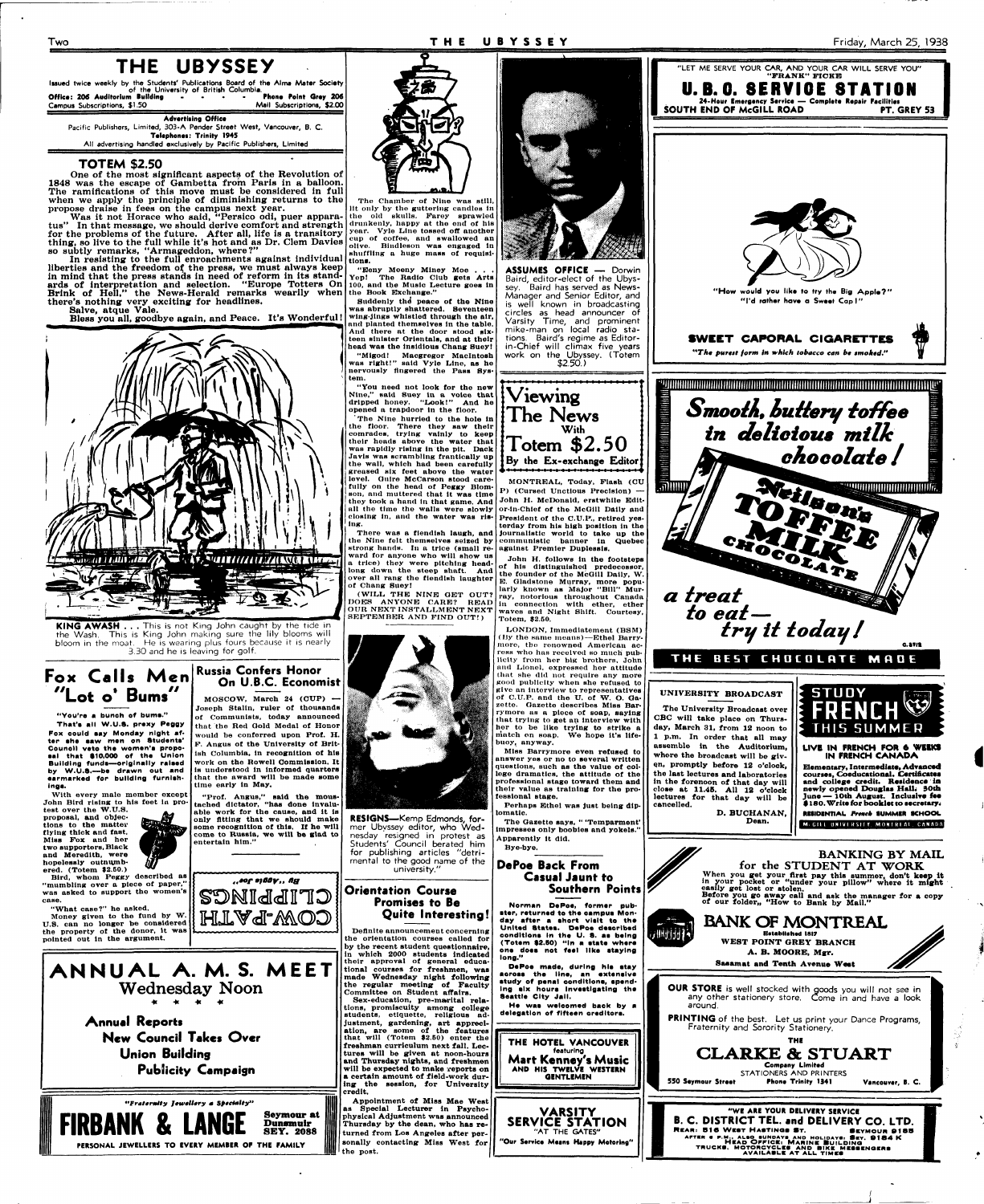#### **Two T H E UBYSSE Y Friday, March 25, 1938**

**Issued twice weekly by the Students' Publications Board of the Alma Mater Society of the University of British Columbia. Office: 206 Auditorium Building ... . Phone Point Orey 206**  Campus Subscriptions, \$1.50 Mail Subscriptions, \$2.00

# **THE UBYSSEY**

One of the most significant aspects of the Revolution of 1848 was the escape of Gambetta from Paris in a balloon. The ramifications of this move must be considered in full when we apply the principle of diminishing returns to the propose draise in fees on the campus next year.

**Advertising Office Pacific Publishers, Limited, 303-A Pender Street West, Vancouver, B. C. Telephones: Trinity 1945 All advertising handled exclusively by Pacific Publishers, Limited** 

#### **TOTEM \$2.50**

**KING AWASH . . . This is not King John caught by the tide in the Wash. This is King John making sure the lily blooms will bloom in the moat. He is wearing plus fours because it is nearly 3.30 and he is leaving for golf.** 

Was it not Horace who said, "Persico odi, puer apparatus" In that message, we should derive comfort and strength for the problems of the future. After all, life is a transitory thing, so live to the full while it's hot and as Dr. Clem Davies

so subtly remarks, "Armageddon, where?" In resisting to the full enroachments against individual liberties and the freedom of the press, we must always keep in mind that the press stands in need of reform in its standards of interpretation and selection. "Europe Totters On Brink of Hell," the News-Herald remarks wearily when there's nothing very exciting for headlines.

Salve, atque Vale.

Bless you all, goodbye again, and Peace. It's Wonderful!





#### **"You're a bunch of bums."**

**That'a all W.U.S. prexy Peggy Fox oould aay Monday night after ehe eaw men on Studenta' Council veto the wemen'e propeaal that \$10,000 of the Union Building funda—originally raiaed by W.U.S.—be drawn out and earmarked for building furnlahinga.** 

**"Eeny Meeny Miney Moe .**<br>Yep! The Radio Club gets The Radio Club gets Arts **100, and the Music Lecture goea ln the Book Exchange."** 

**With every male member except John Bird rising; to his feet ln protest over the W.U.S.**  M **proposal, and objec-**

### **Russia Confers Honor On U.B.C. Economist**

**MOSCOW, March 24 (CUP) — Joseph Stalin, ruler ot thousands of Communists, today announced that the Red Oold Medal of Honor would be conferred upon Prof. H. F. Angus of the University of British Columbia, in recognition of his work on the Rowell Commission. It ls understood in informed quarters that the award will be made some time early ln May.** 

**"Prof. Angus," aald the moustached dictator, "haa done invaluable work for the cause, and it ls only fitting that we should make** 



**The Chamber of Nine was still, lit only by the guttering candles ln the old skulls. Farey sprawled drunkenly, happy at the end of his year. Vyle Line tossed off another cup of coffee, and swallowed an olive. Bindleson was engaged ln shuffling a huge mass of requisitions.** 

**Suddenly the peace of the Nine was abruptly shattered. Seventeen wing-Jings whistled through the air, and planted themselves ln the table. And there at the door stood sixteen sinister Orientals, and at their head waa the insidious Chang Sueyl "Migod! Macgregor Macintosh was right!" said Vyle Line, as he** 

**nervously Angered the Pass System. "You need not look for the new** 

**Nine," said Suey ln a voice that dripped honey. "Look!" And he opened a trapdoor In the floor.** 

**' The Nine hurried to the hole in the floor. There they saw their comrades, trying vainly to keep their heads above the water that was rapidly rising in the pit. Oack Javls was scrambling frantically up the wall, which had been carefully greased six feet above the water level. Oulre McCarson stood carefully on the head of Peggy Blomson, and muttered that it was time they took a hand ln that game. And all the time the walls were slowly closing ln, and the water was rising.** 

**There was a fiendish laugh, and the Nine felt themselves seized by strong hands. In a trice (small reward for anyone who will show us a trice) they were pitching headlong down the steep shaft. And over all rang the fiendish laughter of Chang Suey!** 



**(WILL THB NINE OET OUT? DOES ANYONE CARE? READ OUR NEXT INSTALLMENT NEXT SEPTEMBER AND FIND OUT!)** 

**Totem, \$2.50.** 

**buoy, anyway.** 

**their value as training for the professional Btage. Perhaps Ethel was just being diplomatic.** 



**close at 11.48. All 12 o'clock lectures for that day will be cancelled.** 

**D. BUCHANAN,** 

**and college credit. Residence** *it\**  **newly opened Douglaa Hall; 30th June — lOth August. Inclusive fee \$ 180. Write for booklet to aeeretary.** 

**I** 

**MISIDENTIAL Prench SUMMER SCHOOL**